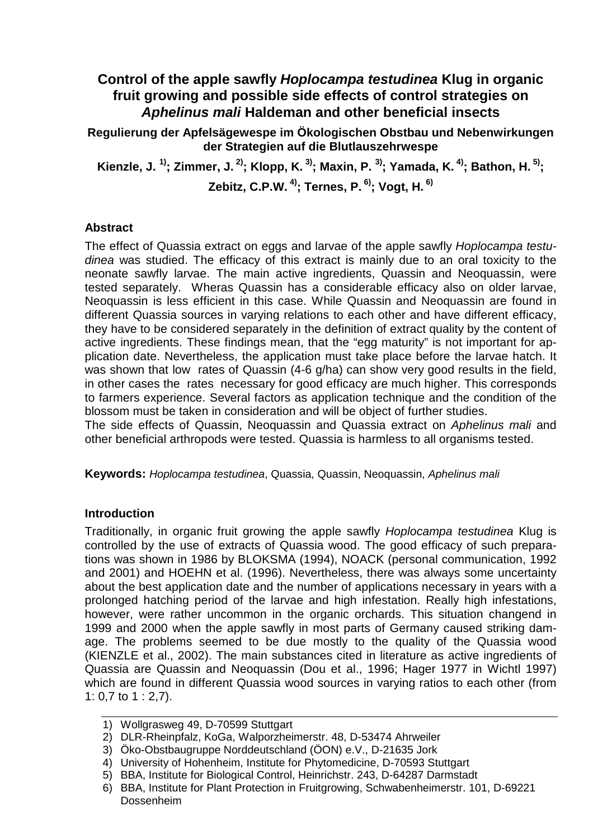# **Control of the apple sawfly Hoplocampa testudinea Klug in organic fruit growing and possible side effects of control strategies on Aphelinus mali Haldeman and other beneficial insects**

**Regulierung der Apfelsägewespe im Ökologischen Obstbau und Nebenwirkungen der Strategien auf die Blutlauszehrwespe** 

**Kienzle, J. 1); Zimmer, J. 2); Klopp, K. 3); Maxin, P. 3); Yamada, K. 4); Bathon, H. 5); Zebitz, C.P.W. 4); Ternes, P. 6); Vogt, H. 6)**

### **Abstract**

The effect of Quassia extract on eggs and larvae of the apple sawfly Hoplocampa testudinea was studied. The efficacy of this extract is mainly due to an oral toxicity to the neonate sawfly larvae. The main active ingredients, Quassin and Neoquassin, were tested separately. Wheras Quassin has a considerable efficacy also on older larvae, Neoquassin is less efficient in this case. While Quassin and Neoquassin are found in different Quassia sources in varying relations to each other and have different efficacy, they have to be considered separately in the definition of extract quality by the content of active ingredients. These findings mean, that the "egg maturity" is not important for application date. Nevertheless, the application must take place before the larvae hatch. It was shown that low rates of Quassin (4-6 g/ha) can show very good results in the field, in other cases the rates necessary for good efficacy are much higher. This corresponds to farmers experience. Several factors as application technique and the condition of the blossom must be taken in consideration and will be object of further studies.

The side effects of Quassin, Neoquassin and Quassia extract on Aphelinus mali and other beneficial arthropods were tested. Quassia is harmless to all organisms tested.

**Keywords:** Hoplocampa testudinea, Quassia, Quassin, Neoquassin, Aphelinus mali

## **Introduction**

Traditionally, in organic fruit growing the apple sawfly Hoplocampa testudinea Klug is controlled by the use of extracts of Quassia wood. The good efficacy of such preparations was shown in 1986 by BLOKSMA (1994), NOACK (personal communication, 1992 and 2001) and HOEHN et al. (1996). Nevertheless, there was always some uncertainty about the best application date and the number of applications necessary in years with a prolonged hatching period of the larvae and high infestation. Really high infestations, however, were rather uncommon in the organic orchards. This situation changend in 1999 and 2000 when the apple sawfly in most parts of Germany caused striking damage. The problems seemed to be due mostly to the quality of the Quassia wood (KIENZLE et al., 2002). The main substances cited in literature as active ingredients of Quassia are Quassin and Neoquassin (Dou et al., 1996; Hager 1977 in Wichtl 1997) which are found in different Quassia wood sources in varying ratios to each other (from 1: 0,7 to 1 : 2,7).

<sup>1)</sup> Wollgrasweg 49, D-70599 Stuttgart

<sup>2)</sup> DLR-Rheinpfalz, KoGa, Walporzheimerstr. 48, D-53474 Ahrweiler

<sup>3)</sup> Öko-Obstbaugruppe Norddeutschland (ÖON) e.V., D-21635 Jork

<sup>4)</sup> University of Hohenheim, Institute for Phytomedicine, D-70593 Stuttgart

<sup>5)</sup> BBA, Institute for Biological Control, Heinrichstr. 243, D-64287 Darmstadt

<sup>6)</sup> BBA, Institute for Plant Protection in Fruitgrowing, Schwabenheimerstr. 101, D-69221 Dossenheim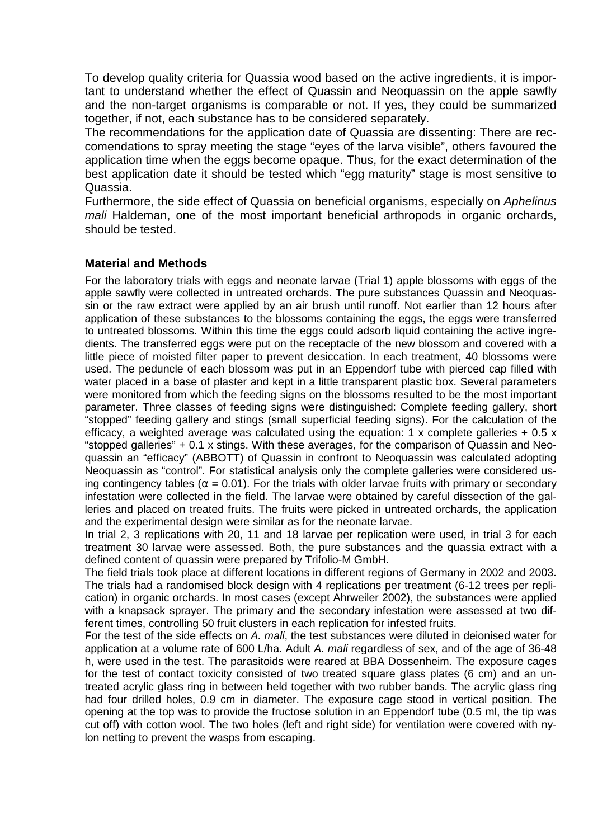To develop quality criteria for Quassia wood based on the active ingredients, it is important to understand whether the effect of Quassin and Neoquassin on the apple sawfly and the non-target organisms is comparable or not. If yes, they could be summarized together, if not, each substance has to be considered separately.

The recommendations for the application date of Quassia are dissenting: There are reccomendations to spray meeting the stage "eyes of the larva visible", others favoured the application time when the eggs become opaque. Thus, for the exact determination of the best application date it should be tested which "egg maturity" stage is most sensitive to Quassia.

Furthermore, the side effect of Quassia on beneficial organisms, especially on Aphelinus mali Haldeman, one of the most important beneficial arthropods in organic orchards, should be tested.

### **Material and Methods**

For the laboratory trials with eggs and neonate larvae (Trial 1) apple blossoms with eggs of the apple sawfly were collected in untreated orchards. The pure substances Quassin and Neoquassin or the raw extract were applied by an air brush until runoff. Not earlier than 12 hours after application of these substances to the blossoms containing the eggs, the eggs were transferred to untreated blossoms. Within this time the eggs could adsorb liquid containing the active ingredients. The transferred eggs were put on the receptacle of the new blossom and covered with a little piece of moisted filter paper to prevent desiccation. In each treatment, 40 blossoms were used. The peduncle of each blossom was put in an Eppendorf tube with pierced cap filled with water placed in a base of plaster and kept in a little transparent plastic box. Several parameters were monitored from which the feeding signs on the blossoms resulted to be the most important parameter. Three classes of feeding signs were distinguished: Complete feeding gallery, short "stopped" feeding gallery and stings (small superficial feeding signs). For the calculation of the efficacy, a weighted average was calculated using the equation: 1 x complete galleries  $+0.5 \times$ "stopped galleries" + 0.1 x stings. With these averages, for the comparison of Quassin and Neoquassin an "efficacy" (ABBOTT) of Quassin in confront to Neoquassin was calculated adopting Neoquassin as "control". For statistical analysis only the complete galleries were considered using contingency tables ( $\alpha$  = 0.01). For the trials with older larvae fruits with primary or secondary infestation were collected in the field. The larvae were obtained by careful dissection of the galleries and placed on treated fruits. The fruits were picked in untreated orchards, the application and the experimental design were similar as for the neonate larvae.

In trial 2, 3 replications with 20, 11 and 18 larvae per replication were used, in trial 3 for each treatment 30 larvae were assessed. Both, the pure substances and the quassia extract with a defined content of quassin were prepared by Trifolio-M GmbH.

The field trials took place at different locations in different regions of Germany in 2002 and 2003. The trials had a randomised block design with 4 replications per treatment (6-12 trees per replication) in organic orchards. In most cases (except Ahrweiler 2002), the substances were applied with a knapsack sprayer. The primary and the secondary infestation were assessed at two different times, controlling 50 fruit clusters in each replication for infested fruits.

For the test of the side effects on A. mali, the test substances were diluted in deionised water for application at a volume rate of 600 L/ha. Adult A, mali regardless of sex, and of the age of 36-48 h, were used in the test. The parasitoids were reared at BBA Dossenheim. The exposure cages for the test of contact toxicity consisted of two treated square glass plates (6 cm) and an untreated acrylic glass ring in between held together with two rubber bands. The acrylic glass ring had four drilled holes, 0.9 cm in diameter. The exposure cage stood in vertical position. The opening at the top was to provide the fructose solution in an Eppendorf tube (0.5 ml, the tip was cut off) with cotton wool. The two holes (left and right side) for ventilation were covered with nylon netting to prevent the wasps from escaping.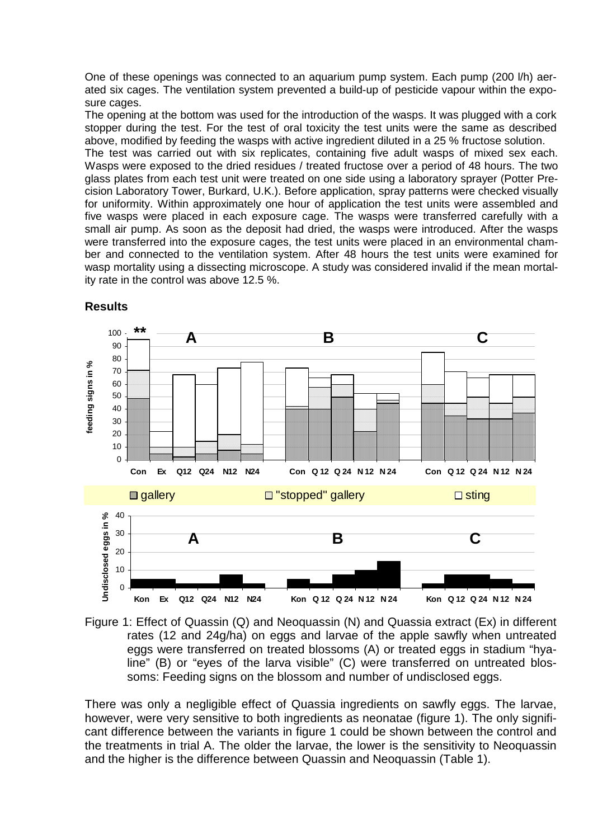One of these openings was connected to an aquarium pump system. Each pump (200 l/h) aerated six cages. The ventilation system prevented a build-up of pesticide vapour within the exposure cages.

The opening at the bottom was used for the introduction of the wasps. It was plugged with a cork stopper during the test. For the test of oral toxicity the test units were the same as described above, modified by feeding the wasps with active ingredient diluted in a 25 % fructose solution.

The test was carried out with six replicates, containing five adult wasps of mixed sex each. Wasps were exposed to the dried residues / treated fructose over a period of 48 hours. The two glass plates from each test unit were treated on one side using a laboratory sprayer (Potter Precision Laboratory Tower, Burkard, U.K.). Before application, spray patterns were checked visually for uniformity. Within approximately one hour of application the test units were assembled and five wasps were placed in each exposure cage. The wasps were transferred carefully with a small air pump. As soon as the deposit had dried, the wasps were introduced. After the wasps were transferred into the exposure cages, the test units were placed in an environmental chamber and connected to the ventilation system. After 48 hours the test units were examined for wasp mortality using a dissecting microscope. A study was considered invalid if the mean mortality rate in the control was above 12.5 %.



**Results** 

Figure 1: Effect of Quassin (Q) and Neoquassin (N) and Quassia extract (Ex) in different rates (12 and 24g/ha) on eggs and larvae of the apple sawfly when untreated eggs were transferred on treated blossoms (A) or treated eggs in stadium "hyaline" (B) or "eyes of the larva visible" (C) were transferred on untreated blossoms: Feeding signs on the blossom and number of undisclosed eggs.

There was only a negligible effect of Quassia ingredients on sawfly eggs. The larvae, however, were very sensitive to both ingredients as neonatae (figure 1). The only significant difference between the variants in figure 1 could be shown between the control and the treatments in trial A. The older the larvae, the lower is the sensitivity to Neoquassin and the higher is the difference between Quassin and Neoquassin (Table 1).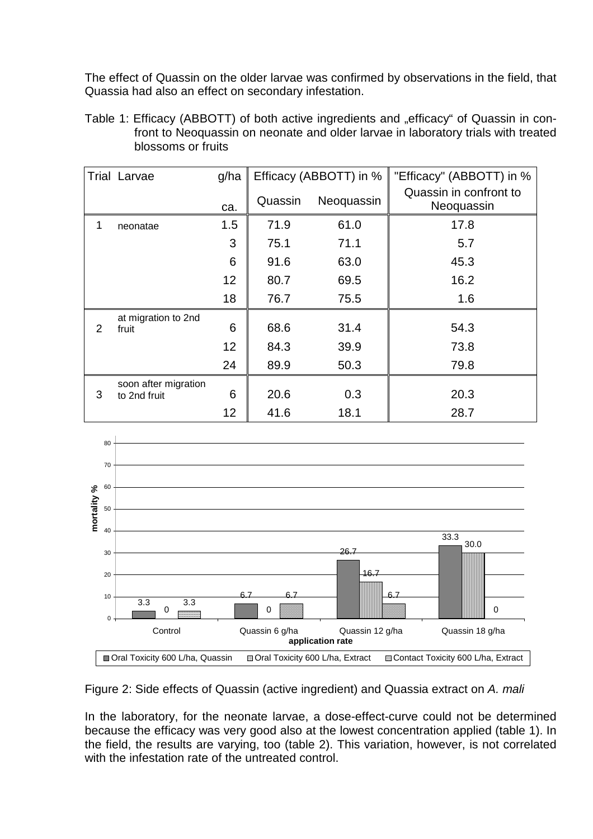The effect of Quassin on the older larvae was confirmed by observations in the field, that Quassia had also an effect on secondary infestation.

Table 1: Efficacy (ABBOTT) of both active ingredients and "efficacy" of Quassin in confront to Neoquassin on neonate and older larvae in laboratory trials with treated blossoms or fruits

|   | <b>Trial Larvae</b>                  | g/ha | Efficacy (ABBOTT) in % |            | "Efficacy" (ABBOTT) in %             |  |
|---|--------------------------------------|------|------------------------|------------|--------------------------------------|--|
|   |                                      | ca.  | Quassin                | Neoquassin | Quassin in confront to<br>Neoquassin |  |
| 1 | neonatae                             | 1.5  | 71.9                   | 61.0       | 17.8                                 |  |
|   |                                      | 3    | 75.1                   | 71.1       | 5.7                                  |  |
|   |                                      | 6    | 91.6                   | 63.0       | 45.3                                 |  |
|   |                                      | 12   | 80.7                   | 69.5       | 16.2                                 |  |
|   |                                      | 18   | 76.7                   | 75.5       | 1.6                                  |  |
| 2 | at migration to 2nd<br>fruit         | 6    | 68.6                   | 31.4       | 54.3                                 |  |
|   |                                      | 12   | 84.3                   | 39.9       | 73.8                                 |  |
|   |                                      | 24   | 89.9                   | 50.3       | 79.8                                 |  |
| 3 | soon after migration<br>to 2nd fruit | 6    | 20.6                   | 0.3        | 20.3                                 |  |
|   |                                      | 12   | 41.6                   | 18.1       | 28.7                                 |  |



Figure 2: Side effects of Quassin (active ingredient) and Quassia extract on A. mali

In the laboratory, for the neonate larvae, a dose-effect-curve could not be determined because the efficacy was very good also at the lowest concentration applied (table 1). In the field, the results are varying, too (table 2). This variation, however, is not correlated with the infestation rate of the untreated control.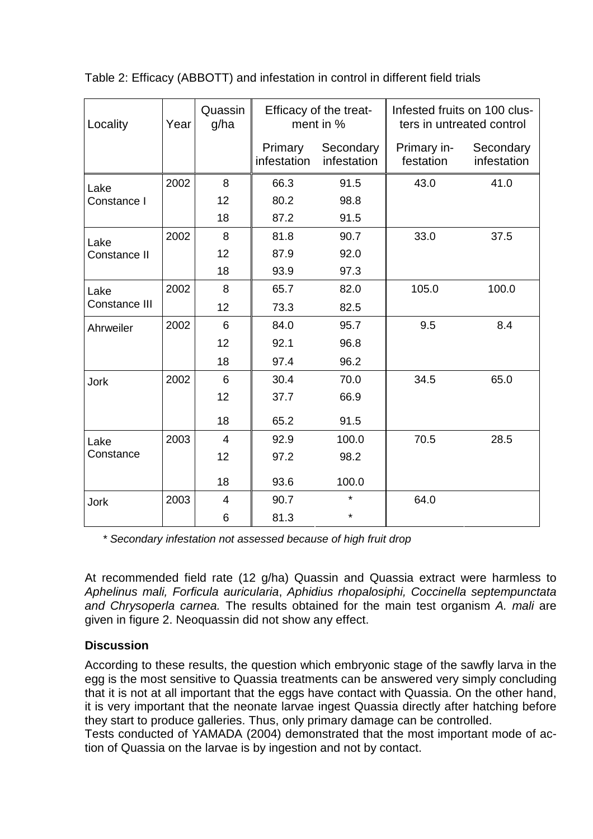| Locality      | Year | Quassin<br>g/ha | Efficacy of the treat-<br>ment in % |                          | Infested fruits on 100 clus-<br>ters in untreated control |                          |
|---------------|------|-----------------|-------------------------------------|--------------------------|-----------------------------------------------------------|--------------------------|
|               |      |                 | Primary<br>infestation              | Secondary<br>infestation | Primary in-<br>festation                                  | Secondary<br>infestation |
| Lake          | 2002 | 8               | 66.3                                | 91.5                     | 43.0                                                      | 41.0                     |
| Constance I   |      | 12              | 80.2                                | 98.8                     |                                                           |                          |
|               |      | 18              | 87.2                                | 91.5                     |                                                           |                          |
| Lake          | 2002 | 8               | 81.8                                | 90.7                     | 33.0                                                      | 37.5                     |
| Constance II  |      | 12              | 87.9                                | 92.0                     |                                                           |                          |
|               |      | 18              | 93.9                                | 97.3                     |                                                           |                          |
| Lake          | 2002 | 8               | 65.7                                | 82.0                     | 105.0                                                     | 100.0                    |
| Constance III |      | 12              | 73.3                                | 82.5                     |                                                           |                          |
| Ahrweiler     | 2002 | 6               | 84.0                                | 95.7                     | 9.5                                                       | 8.4                      |
|               |      | 12              | 92.1                                | 96.8                     |                                                           |                          |
|               |      | 18              | 97.4                                | 96.2                     |                                                           |                          |
| <b>Jork</b>   | 2002 | 6               | 30.4                                | 70.0                     | 34.5                                                      | 65.0                     |
|               |      | 12              | 37.7                                | 66.9                     |                                                           |                          |
|               |      | 18              | 65.2                                | 91.5                     |                                                           |                          |
| Lake          | 2003 | $\overline{4}$  | 92.9                                | 100.0                    | 70.5                                                      | 28.5                     |
| Constance     |      | 12              | 97.2                                | 98.2                     |                                                           |                          |
|               |      | 18              | 93.6                                | 100.0                    |                                                           |                          |
| <b>Jork</b>   | 2003 | $\overline{4}$  | 90.7                                | $\star$                  | 64.0                                                      |                          |
|               |      | 6               | 81.3                                | $\star$                  |                                                           |                          |

Table 2: Efficacy (ABBOTT) and infestation in control in different field trials

\* Secondary infestation not assessed because of high fruit drop

At recommended field rate (12 g/ha) Quassin and Quassia extract were harmless to Aphelinus mali, Forficula auricularia, Aphidius rhopalosiphi, Coccinella septempunctata and Chrysoperla carnea. The results obtained for the main test organism A. mali are given in figure 2. Neoquassin did not show any effect.

# **Discussion**

According to these results, the question which embryonic stage of the sawfly larva in the egg is the most sensitive to Quassia treatments can be answered very simply concluding that it is not at all important that the eggs have contact with Quassia. On the other hand, it is very important that the neonate larvae ingest Quassia directly after hatching before they start to produce galleries. Thus, only primary damage can be controlled.

Tests conducted of YAMADA (2004) demonstrated that the most important mode of action of Quassia on the larvae is by ingestion and not by contact.